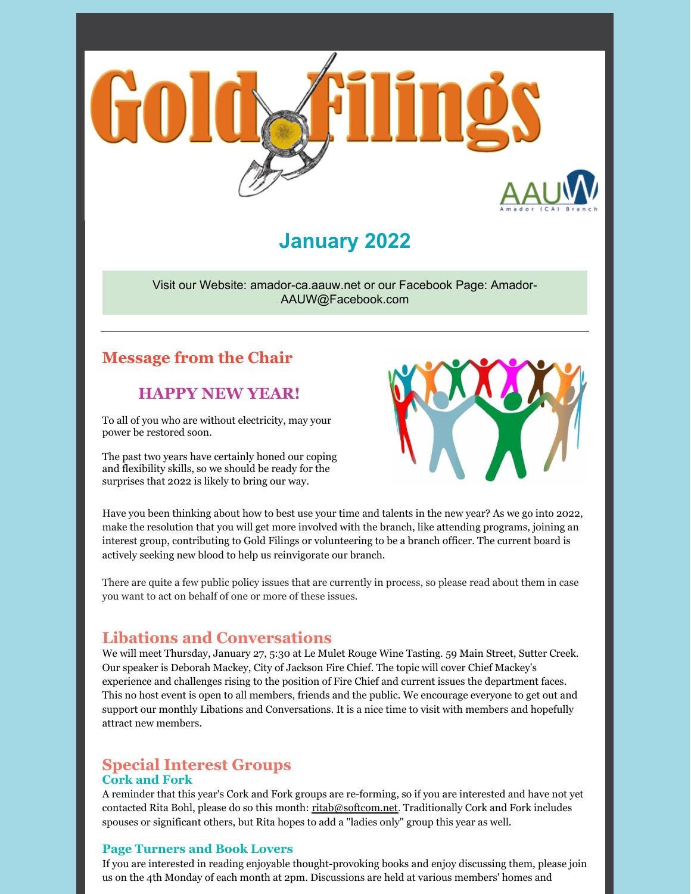

# **January 2022**

Visit our Website: amador-ca.aauw.net or our Facebook Page: Amador-AAUW@Facebook.com

## **Message from the Chair**

## **HAPPY NEW YEAR!**

To all of you who are without electricity, may your power be restored soon.

The past two years have certainly honed our coping and flexibility skills, so we should be ready for the surprises that 2022 is likely to bring our way.



Have you been thinking about how to best use your time and talents in the new year? As we go into 2022, make the resolution that you will get more involved with the branch, like attending programs, joining an interest group, contributing to Gold Filings or volunteering to be a branch officer. The current board is actively seeking new blood to help us reinvigorate our branch.

There are quite a few public policy issues that are currently in process, so please read about them in case you want to act on behalf of one or more of these issues.

## **Libations and Conversations**

We will meet Thursday, January 27, 5:30 at Le Mulet Rouge Wine Tasting. 59 Main Street, Sutter Creek. Our speaker is Deborah Mackey, City of Jackson Fire Chief. The topic will cover Chief Mackey's experience and challenges rising to the position of Fire Chief and current issues the department faces. This no host event is open to all members, friends and the public. We encourage everyone to get out and support our monthly Libations and Conversations. It is a nice time to visit with members and hopefully attract new members.

## **Special Interest Groups Cork and Fork**

A reminder that this year's Cork and Fork groups are re-forming, so if you are interested and have not yet contacted Rita Bohl, please do so this month: ritab@softcom.net. Traditionally Cork and Fork includes spouses or significant others, but Rita hopes to add a "ladies only" group this year as well.

### **Page Turners and Book Lovers**

If you are interested in reading enjoyable thought-provoking books and enjoy discussing them, please join us on the 4th Monday of each month at 2pm. Discussions are held at various members' homes and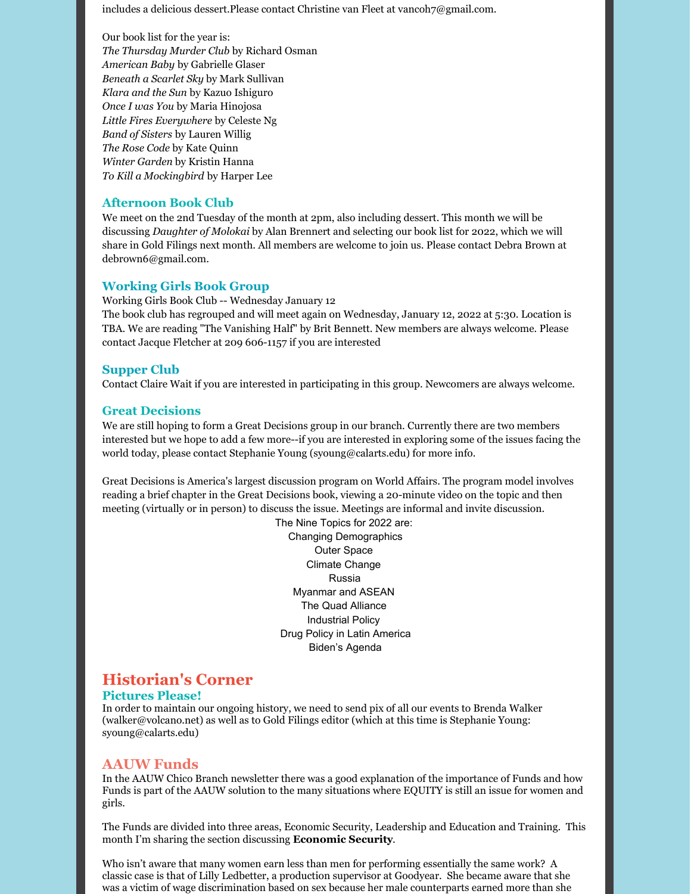includes a delicious dessert.Please contact Christine van Fleet at vancoh7@gmail.com.

Our book list for the year is: *The Thursday Murder Club* by Richard Osman *American Baby* by Gabrielle Glaser *Beneath a Scarlet Sky* by Mark Sullivan *Klara and the Sun* by Kazuo Ishiguro *Once I was You* by Maria Hinojosa *Little Fires Everywhere* by Celeste Ng *Band of Sisters* by Lauren Willig *The Rose Code* by Kate Quinn *Winter Garden* by Kristin Hanna *To Kill a Mockingbird* by Harper Lee

#### **Afternoon Book Club**

We meet on the 2nd Tuesday of the month at 2pm, also including dessert. This month we will be discussing *Daughter of Molokai* by Alan Brennert and selecting our book list for 2022, which we will share in Gold Filings next month. All members are welcome to join us. Please contact Debra Brown at debrown6@gmail.com.

#### **Working Girls Book Group**

Working Girls Book Club -- Wednesday January 12 The book club has regrouped and will meet again on Wednesday, January 12, 2022 at 5:30. Location is TBA. We are reading "The Vanishing Half" by Brit Bennett. New members are always welcome. Please contact Jacque Fletcher at 209 606-1157 if you are interested

#### **Supper Club**

Contact Claire Wait if you are interested in participating in this group. Newcomers are always welcome.

#### **Great Decisions**

We are still hoping to form a Great Decisions group in our branch. Currently there are two members interested but we hope to add a few more--if you are interested in exploring some of the issues facing the world today, please contact Stephanie Young (syoung@calarts.edu) for more info.

Great Decisions is America's largest discussion program on World Affairs. The program model involves reading a brief chapter in the Great Decisions book, viewing a 20-minute video on the topic and then meeting (virtually or in person) to discuss the issue. Meetings are informal and invite discussion.

> The Nine Topics for 2022 are: Changing Demographics Outer Space Climate Change Russia Myanmar and ASEAN The Quad Alliance Industrial Policy Drug Policy in Latin America Biden's Agenda

## **Historian's Corner**

#### **Pictures Please!**

In order to maintain our ongoing history, we need to send pix of all our events to Brenda Walker (walker@volcano.net) as well as to Gold Filings editor (which at this time is Stephanie Young: syoung@calarts.edu)

#### **AAUW Funds**

In the AAUW Chico Branch newsletter there was a good explanation of the importance of Funds and how Funds is part of the AAUW solution to the many situations where EQUITY is still an issue for women and girls.

The Funds are divided into three areas, Economic Security, Leadership and Education and Training. This month I'm sharing the section discussing **Economic Security**.

Who isn't aware that many women earn less than men for performing essentially the same work? A classic case is that of Lilly Ledbetter, a production supervisor at Goodyear. She became aware that she was a victim of wage discrimination based on sex because her male counterparts earned more than she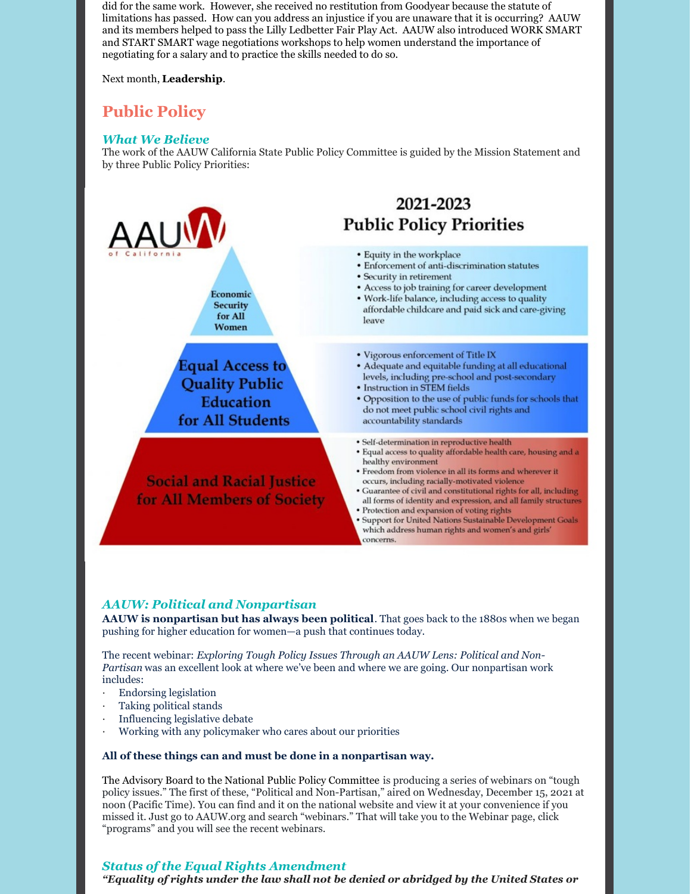did for the same work. However, she received no restitution from Goodyear because the statute of limitations has passed. How can you address an injustice if you are unaware that it is occurring? AAUW and its members helped to pass the Lilly Ledbetter Fair Play Act. AAUW also introduced WORK SMART and START SMART wage negotiations workshops to help women understand the importance of negotiating for a salary and to practice the skills needed to do so.

#### Next month, **Leadership**.

## **Public Policy**

### *What We Believe*

The work of the AAUW California State Public Policy Committee is guided by the Mission Statement and by three Public Policy Priorities:



### *AAUW: Political and Nonpartisan*

**AAUW is nonpartisan but has always been political**. That goes back to the 1880s when we began pushing for higher education for women—a push that continues today.

The recent webinar: *Exploring Tough Policy Issues Through an AAUW Lens: Political and Non-Partisan* was an excellent look at where we've been and where we are going. Our nonpartisan work includes:

- · Endorsing legislation
- Taking political stands
- Influencing legislative debate
- Working with any policymaker who cares about our priorities

#### **All of these things can and must be done in a nonpartisan way.**

The Advisory Board to the National Public Policy Committee is producing a series of webinars on "tough policy issues." The first of these, "Political and Non-Partisan," aired on Wednesday, December 15, 2021 at noon (Pacific Time). You can find and it on the national website and view it at your convenience if you missed it. Just go to AAUW.org and search "webinars." That will take you to the Webinar page, click "programs" and you will see the recent webinars.

### *Status of the Equal Rights Amendment*

*"Equality of rights under the law shall not be denied or abridged by the United States or*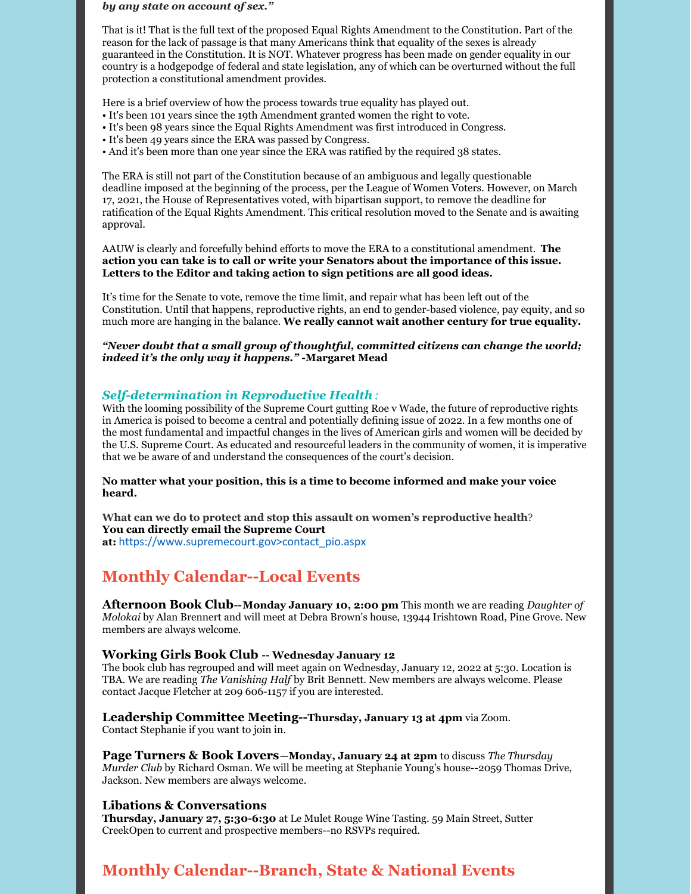#### *by any state on account of sex."*

That is it! That is the full text of the proposed Equal Rights Amendment to the Constitution. Part of the reason for the lack of passage is that many Americans think that equality of the sexes is already guaranteed in the Constitution. It is NOT. Whatever progress has been made on gender equality in our country is a hodgepodge of federal and state legislation, any of which can be overturned without the full protection a constitutional amendment provides.

Here is a brief overview of how the process towards true equality has played out.

- It's been 101 years since the 19th Amendment granted women the right to vote.
- It's been 98 years since the Equal Rights Amendment was first introduced in Congress.
- It's been 49 years since the ERA was passed by Congress.
- And it's been more than one year since the ERA was ratified by the required 38 states.

The ERA is still not part of the Constitution because of an ambiguous and legally questionable deadline imposed at the beginning of the process, per the League of Women Voters. However, on March 17, 2021, the House of Representatives voted, with bipartisan support, to remove the deadline for ratification of the Equal Rights Amendment. This critical resolution moved to the Senate and is awaiting approval.

AAUW is clearly and forcefully behind efforts to move the ERA to a constitutional amendment. **The action you can take is to call or write your Senators about the importance of this issue. Letters to the Editor and taking action to sign petitions are all good ideas.**

It's time for the Senate to vote, remove the time limit, and repair what has been left out of the Constitution. Until that happens, reproductive rights, an end to gender-based violence, pay equity, and so much more are hanging in the balance. **We really cannot wait another century for true equality.**

*"Never doubt that a small group of thoughtful, committed citizens can change the world; indeed it's the only way it happens."* **-Margaret Mead**

#### *Self-determination in Reproductive Health:*

With the looming possibility of the Supreme Court gutting Roe v Wade, the future of reproductive rights in America is poised to become a central and potentially defining issue of 2022. In a few months one of the most fundamental and impactful changes in the lives of American girls and women will be decided by the U.S. Supreme Court. As educated and resourceful leaders in the community of women, it is imperative that we be aware of and understand the consequences of the court's decision.

**No matter what your position, this is a time to become informed and make your voice heard.**

**What can we do to protect and stop this assault on women's reproductive health**? **You can directly email the Supreme Court at:** https://www.supremecourt.gov>contact\_pio.aspx

## **Monthly Calendar--Local Events**

**Afternoon Book Club--Monday January 10, 2:00 pm** This month we are reading *Daughter of Molokai* by Alan Brennert and will meet at Debra Brown's house, 13944 Irishtown Road, Pine Grove. New members are always welcome.

#### **Working Girls Book Club -- Wednesday January 12**

The book club has regrouped and will meet again on Wednesday, January 12, 2022 at 5:30. Location is TBA. We are reading *The Vanishing Half* by Brit Bennett. New members are always welcome. Please contact Jacque Fletcher at 209 606-1157 if you are interested.

**Leadership Committee Meeting--Thursday, January 13 at 4pm** via Zoom.

Contact Stephanie if you want to join in.

**Page Turners & Book Lovers**—**Monday, January 24 at 2pm** to discuss *The Thursday Murder Club* by Richard Osman. We will be meeting at Stephanie Young's house--2059 Thomas Drive, Jackson. New members are always welcome.

#### **Libations & Conversations**

**Thursday, January 27, 5:30-6:30** at Le Mulet Rouge Wine Tasting. 59 Main Street, Sutter CreekOpen to current and prospective members--no RSVPs required.

## **Monthly Calendar--Branch, State & National Events**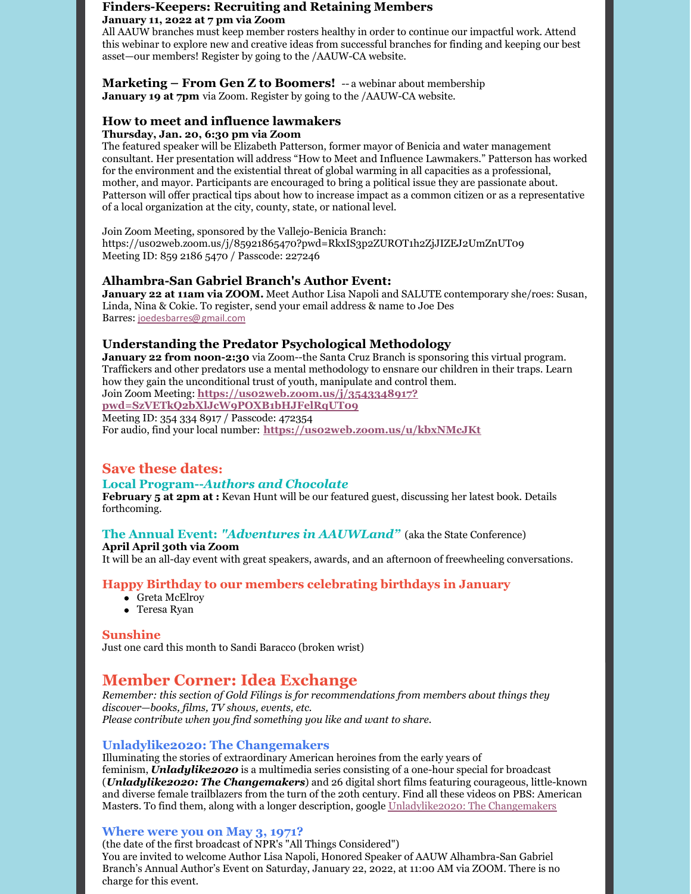#### **Finders-Keepers: Recruiting and Retaining Members January 11, 2022 at 7 pm via Zoom**

All AAUW branches must keep member rosters healthy in order to continue our impactful work. Attend this webinar to explore new and creative ideas from successful branches for finding and keeping our best asset—our members! Register by going to the /AAUW-CA website.

#### **Marketing – From Gen Z to Boomers!** *--* a webinar about membership **January 19 at 7pm** via Zoom. Register by going to the /AAUW-CA website.

## **How to meet and influence lawmakers**

### **Thursday, Jan. 20, 6:30 pm via Zoom**

The featured speaker will be Elizabeth Patterson, former mayor of Benicia and water management consultant. Her presentation will address "How to Meet and Influence Lawmakers." Patterson has worked for the environment and the existential threat of global warming in all capacities as a professional, mother, and mayor. Participants are encouraged to bring a political issue they are passionate about. Patterson will offer practical tips about how to increase impact as a common citizen or as a representative of a local organization at the city, county, state, or national level.

Join Zoom Meeting, sponsored by the Vallejo-Benicia Branch: https://us02web.zoom.us/j/85921865470?pwd=RkxIS3p2ZUROT1h2ZjJIZEJ2UmZnUT09 Meeting ID: 859 2186 5470 / Passcode: 227246

### **Alhambra-San Gabriel Branch's Author Event:**

**January 22 at 11am via ZOOM.** Meet Author Lisa Napoli and SALUTE contemporary she/roes: Susan, Linda, Nina & Cokie. To register, send your email address & name to Joe Des Barres: joedesbarres@gmail.com

## **Understanding the Predator Psychological Methodology**

**January 22 from noon-2:30** via Zoom--the Santa Cruz Branch is sponsoring this virtual program. Traffickers and other predators use a mental methodology to ensnare our children in their traps. Learn how they gain the unconditional trust of youth, manipulate and control them.

Join Zoom Meeting: **https://us02web.zoom.us/j/3543348917? pwd=SzVETkQ2bXlJcW9POXB1bHJFelRqUT09**

Meeting ID: 354 334 8917 / Passcode: 472354 For audio, find your local number: **https://us02web.zoom.us/u/kbxNMcJKt**

## **Save these dates:**

### **Local Program--***Authors and Chocolate*

**February 5 at 2pm at :** Kevan Hunt will be our featured guest, discussing her latest book. Details forthcoming.

### **The Annual Event:** *"Adventures in AAUWLand"* (aka the State Conference)

**April April 30th via Zoom** It will be an all-day event with great speakers, awards, and an afternoon of freewheeling conversations.

### **Happy Birthday to our members celebrating birthdays in January**

- Greta McElroy
- Teresa Ryan

#### **Sunshine**

Just one card this month to Sandi Baracco (broken wrist)

## **Member Corner: Idea Exchange**

*Remember: this section of Gold Filings is for recommendations from members about things they discover—books, films, TV shows, events, etc. Please contribute when you find something you like and want to share.*

### **Unladylike2020: The Changemakers**

Illuminating the stories of extraordinary American heroines from the early years of feminism, *Unladylike2020* is a multimedia series consisting of a one-hour special for broadcast (*Unladylike2020: The Changemakers*) and 26 digital short films featuring courageous, little-known and diverse female trailblazers from the turn of the 20th century. Find all these videos on PBS: American Masters. To find them, along with a longer description, google Unladylike2020: The Changemakers

### **Where were you on May 3, 1971?**

(the date of the first broadcast of NPR's "All Things Considered") You are invited to welcome Author Lisa Napoli, Honored Speaker of AAUW Alhambra-San Gabriel Branch's Annual Author's Event on Saturday, January 22, 2022, at 11:00 AM via ZOOM. There is no charge for this event.